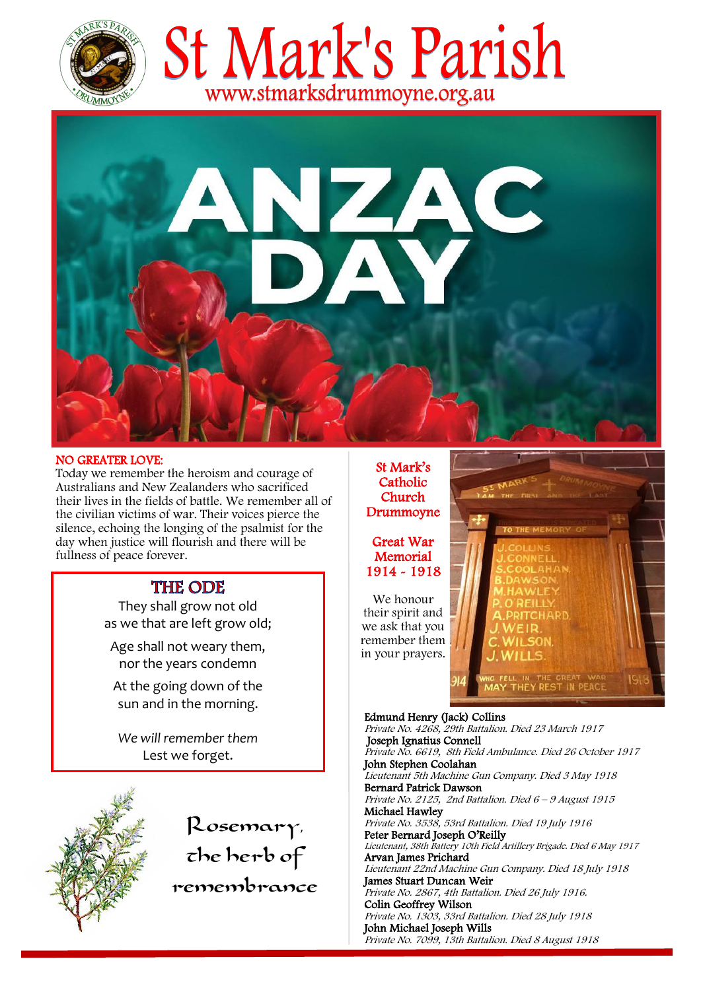





### NO GREATER LOVE:

Today we remember the heroism and courage of Australians and New Zealanders who sacrificed their lives in the fields of battle. We remember all of the civilian victims of war. Their voices pierce the silence, echoing the longing of the psalmist for the day when justice will flourish and there will be fullness of peace forever.

### **THE ODE**

They shall grow not old as we that are left grow old;

Age shall not weary them, nor the years condemn

At the going down of the sun and in the morning.

*We will remember them* Lest we forget.



Rosemary, the herb of remembrance

### St Mark's Catholic Church Drummoyne

Great War Memorial 1914 - 1918

We honour their spirit and we ask that you remember them in your prayers.



### Edmund Henry (Jack) Collins Private No. 4268, 29th Battalion. Died 23 March 1917 Joseph Ignatius Connell Private No. 6619, 8th Field Ambulance. Died 26 October 1917 John Stephen Coolahan Lieutenant 5th Machine Gun Company. Died 3 May 1918 Bernard Patrick Dawson Private No. 2125, 2nd Battalion. Died 6 – 9 August 1915 Michael Hawley Private No. 3538, 53rd Battalion. Died 19 July 1916 Peter Bernard Joseph O'Reilly Lieutenant, 38th Battery 10th Field Artillery Brigade. Died 6 May 1917 Arvan James Prichard Lieutenant 22nd Machine Gun Company. Died 18 July 1918 James Stuart Duncan Weir Private No. 2867, 4th Battalion. Died 26 July 1916. Colin Geoffrey Wilson Private No. 1303, 33rd Battalion. Died 28 July 1918 John Michael Joseph Wills Private No. 7099, 13th Battalion. Died 8 August 1918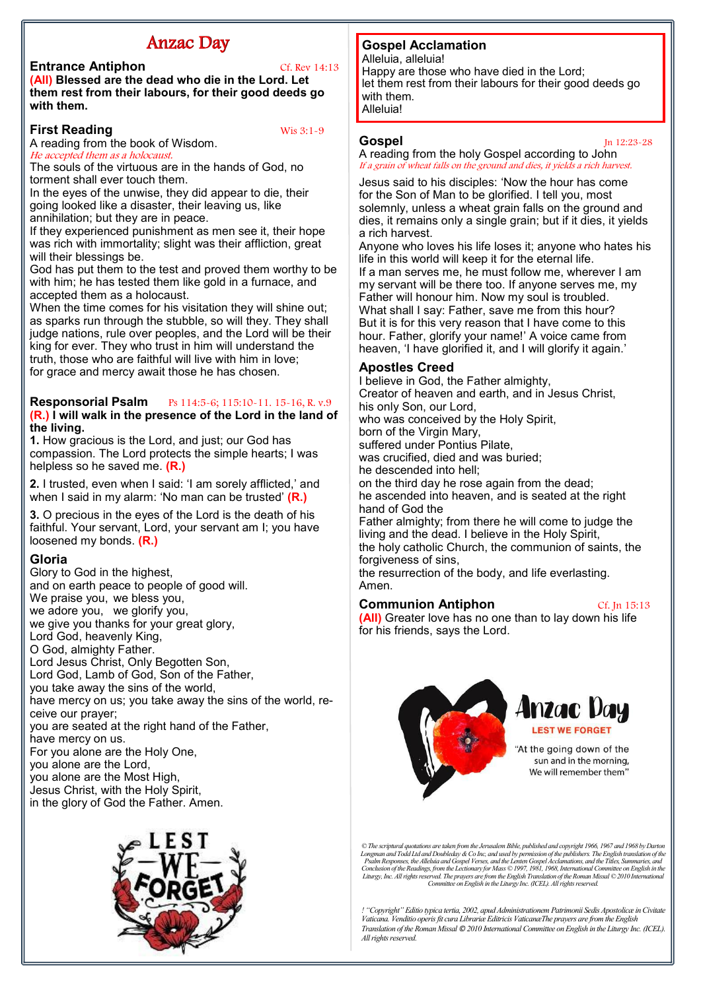### **Anzac Day**

### **Entrance Antiphon** Cf. Rev 14:13

**(All) Blessed are the dead who die in the Lord. Let them rest from their labours, for their good deeds go with them.** 

### **First Reading** Wis 3:1-9

A reading from the book of Wisdom.

He accepted them as a holocaust. The souls of the virtuous are in the hands of God, no torment shall ever touch them.

In the eyes of the unwise, they did appear to die, their going looked like a disaster, their leaving us, like annihilation; but they are in peace.

If they experienced punishment as men see it, their hope was rich with immortality; slight was their affliction, great will their blessings be.

God has put them to the test and proved them worthy to be with him; he has tested them like gold in a furnace, and accepted them as a holocaust.

When the time comes for his visitation they will shine out; as sparks run through the stubble, so will they. They shall judge nations, rule over peoples, and the Lord will be their king for ever. They who trust in him will understand the truth, those who are faithful will live with him in love; for grace and mercy await those he has chosen.

### **Responsorial Psalm** Ps 114:5-6; 115:10-11. 15-16, R. v.9 **(R.) I will walk in the presence of the Lord in the land of the living.**

**1.** How gracious is the Lord, and just; our God has compassion. The Lord protects the simple hearts; I was helpless so he saved me. **(R.)**

**2.** I trusted, even when I said: 'I am sorely afflicted,' and when I said in my alarm: 'No man can be trusted' **(R.)**

**3.** O precious in the eyes of the Lord is the death of his faithful. Your servant, Lord, your servant am I; you have loosened my bonds. **(R.)**

### **Gloria**

Glory to God in the highest, and on earth peace to people of good will. We praise you, we bless you, we adore you, we glorify you, we give you thanks for your great glory, Lord God, heavenly King, O God, almighty Father. Lord Jesus Christ, Only Begotten Son, Lord God, Lamb of God, Son of the Father, you take away the sins of the world, have mercy on us; you take away the sins of the world, receive our prayer; you are seated at the right hand of the Father, have mercy on us. For you alone are the Holy One, you alone are the Lord, you alone are the Most High, Jesus Christ, with the Holy Spirit,

in the glory of God the Father. Amen.



### **Gospel Acclamation**

Alleluia, alleluia! Happy are those who have died in the Lord; let them rest from their labours for their good deeds go with them. Alleluia!

**Gospel Jn 12:23-28** A reading from the holy Gospel according to John If a grain of wheat falls on the ground and dies, it yields a rich harvest.

Jesus said to his disciples: 'Now the hour has come for the Son of Man to be glorified. I tell you, most solemnly, unless a wheat grain falls on the ground and dies, it remains only a single grain; but if it dies, it yields a rich harvest.

Anyone who loves his life loses it; anyone who hates his life in this world will keep it for the eternal life. If a man serves me, he must follow me, wherever I am my servant will be there too. If anyone serves me, my Father will honour him. Now my soul is troubled. What shall I say: Father, save me from this hour? But it is for this very reason that I have come to this hour. Father, glorify your name!' A voice came from heaven, 'I have glorified it, and I will glorify it again.'

### **Apostles Creed**

I believe in God, the Father almighty, Creator of heaven and earth, and in Jesus Christ, his only Son, our Lord, who was conceived by the Holy Spirit, born of the Virgin Mary, suffered under Pontius Pilate, was crucified, died and was buried; he descended into hell; on the third day he rose again from the dead; he ascended into heaven, and is seated at the right hand of God the Father almighty; from there he will come to judge the living and the dead. I believe in the Holy Spirit,

the holy catholic Church, the communion of saints, the forgiveness of sins,

the resurrection of the body, and life everlasting. Amen.

### **Communion Antiphon** Cf. Jn 15:13

**(All)** Greater love has no one than to lay down his life for his friends, says the Lord.



## **Anzac Day LEST WE FORGET**

"At the going down of the sun and in the morning, We will remember them"

© The scriptural quotations are taken from the Jerusalem Bible, published and copyright 1966, 1967 and 1968 by Darton<br>Longman and Todd Ltd and Doubleday & Co Inc, and used by permission of the publishers. The English trans *Liturgy, Inc. All rights reserved. The prayers are from the English Translation of the Roman Missal © 2010 International Committee on English in the Liturgy Inc. (ICEL). All rights reserved.*

*! "Copyright" Editio typica tertia, 2002, apud Administrationem Patrimonii Sedis Apostolicæ in Civitate Vaticana. Venditio operis fit cura Librariæ Editricis VaticanæThe prayers are from the English Translation of the Roman Missal ©2010 International Committee on English in the Liturgy Inc. (ICEL). All rights reserved.*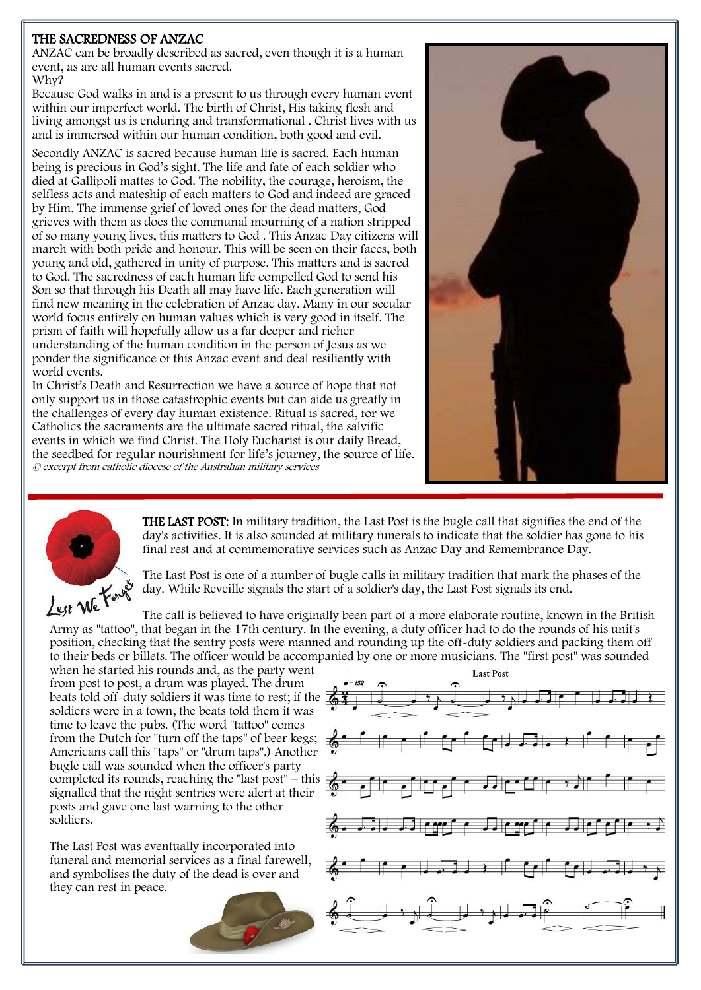### THE SACREDNESS OF ANZAC

ANZAC can be broadly described as sacred, even though it is a human event, as are all human events sacred. Why?

Because God walks in and is a present to us through every human event within our imperfect world. The birth of Christ, His taking flesh and living amongst us is enduring and transformational . Christ lives with us and is immersed within our human condition, both good and evil.

Secondly ANZAC is sacred because human life is sacred. Each human being is precious in God's sight. The life and fate of each soldier who died at Gallipoli mattes to God. The nobility, the courage, heroism, the selfless acts and mateship of each matters to God and indeed are graced by Him. The immense grief of loved ones for the dead matters, God grieves with them as does the communal mourning of a nation stripped of so many young lives, this matters to God . This Anzac Day citizens will march with both pride and honour. This will be seen on their faces, both young and old, gathered in unity of purpose. This matters and is sacred to God. The sacredness of each human life compelled God to send his Son so that through his Death all may have life. Each generation will find new meaning in the celebration of Anzac day. Many in our secular world focus entirely on human values which is very good in itself. The prism of faith will hopefully allow us a far deeper and richer understanding of the human condition in the person of Jesus as we ponder the significance of this Anzac event and deal resiliently with world events.

In Christ's Death and Resurrection we have a source of hope that not only support us in those catastrophic events but can aide us greatly in the challenges of every day human existence. Ritual is sacred, for we Catholics the sacraments are the ultimate sacred ritual, the salvific events in which we find Christ. The Holy Eucharist is our daily Bread, the seedbed for regular nourishment for life's journey, the source of life. © excerpt from catholic diocese of the Australian military services





THE LAST POST: In military tradition, the Last Post is the bugle call that signifies the end of the day's activities. It is also sounded at military funerals to indicate that the soldier has gone to his final rest and at commemorative services such as Anzac Day and Remembrance Day.

The Last Post is one of a number of bugle calls in military tradition that mark the phases of the day. While Reveille signals the start of a soldier's day, the Last Post signals its end.

The call is believed to have originally been part of a more elaborate routine, known in the British Army as "tattoo", that began in the 17th century. In the evening, a duty officer had to do the rounds of his unit's position, checking that the sentry posts were manned and rounding up the off-duty soldiers and packing them off to their beds or billets. The officer would be accompanied by one or more musicians. The "first post" was sounded

when he started his rounds and, as the party went from post to post, a drum was played. The drum beats told off-duty soldiers it was time to rest; if the soldiers were in a town, the beats told them it was time to leave the pubs. (The word "tattoo" comes from the Dutch for "turn off the taps" of beer kegs; Americans call this "taps" or "drum taps".) Another bugle call was sounded when the officer's party completed its rounds, reaching the "last post" – this signalled that the night sentries were alert at their posts and gave one last warning to the other soldiers.

The Last Post was eventually incorporated into funeral and memorial services as a final farewell, and symbolises the duty of the dead is over and they can rest in peace.